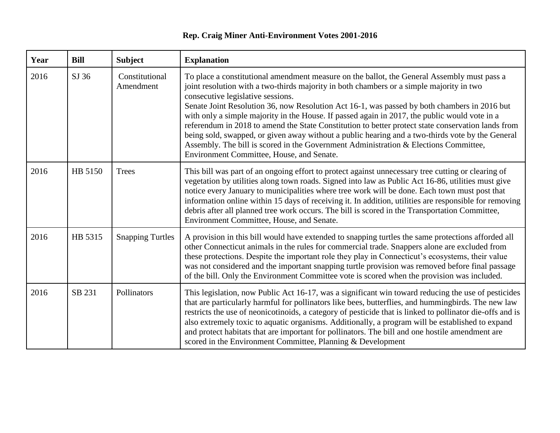## **Rep. Craig Miner Anti-Environment Votes 2001-2016**

| Year | <b>Bill</b> | <b>Subject</b>              | <b>Explanation</b>                                                                                                                                                                                                                                                                                                                                                                                                                                                                                                                                                                                                                                                                                                                                                           |
|------|-------------|-----------------------------|------------------------------------------------------------------------------------------------------------------------------------------------------------------------------------------------------------------------------------------------------------------------------------------------------------------------------------------------------------------------------------------------------------------------------------------------------------------------------------------------------------------------------------------------------------------------------------------------------------------------------------------------------------------------------------------------------------------------------------------------------------------------------|
| 2016 | SJ 36       | Constitutional<br>Amendment | To place a constitutional amendment measure on the ballot, the General Assembly must pass a<br>joint resolution with a two-thirds majority in both chambers or a simple majority in two<br>consecutive legislative sessions.<br>Senate Joint Resolution 36, now Resolution Act 16-1, was passed by both chambers in 2016 but<br>with only a simple majority in the House. If passed again in 2017, the public would vote in a<br>referendum in 2018 to amend the State Constitution to better protect state conservation lands from<br>being sold, swapped, or given away without a public hearing and a two-thirds vote by the General<br>Assembly. The bill is scored in the Government Administration & Elections Committee,<br>Environment Committee, House, and Senate. |
| 2016 | HB 5150     | <b>Trees</b>                | This bill was part of an ongoing effort to protect against unnecessary tree cutting or clearing of<br>vegetation by utilities along town roads. Signed into law as Public Act 16-86, utilities must give<br>notice every January to municipalities where tree work will be done. Each town must post that<br>information online within 15 days of receiving it. In addition, utilities are responsible for removing<br>debris after all planned tree work occurs. The bill is scored in the Transportation Committee,<br>Environment Committee, House, and Senate.                                                                                                                                                                                                           |
| 2016 | HB 5315     | <b>Snapping Turtles</b>     | A provision in this bill would have extended to snapping turtles the same protections afforded all<br>other Connecticut animals in the rules for commercial trade. Snappers alone are excluded from<br>these protections. Despite the important role they play in Connecticut's ecosystems, their value<br>was not considered and the important snapping turtle provision was removed before final passage<br>of the bill. Only the Environment Committee vote is scored when the provision was included.                                                                                                                                                                                                                                                                    |
| 2016 | SB 231      | Pollinators                 | This legislation, now Public Act 16-17, was a significant win toward reducing the use of pesticides<br>that are particularly harmful for pollinators like bees, butterflies, and hummingbirds. The new law<br>restricts the use of neonicotinoids, a category of pesticide that is linked to pollinator die-offs and is<br>also extremely toxic to aquatic organisms. Additionally, a program will be established to expand<br>and protect habitats that are important for pollinators. The bill and one hostile amendment are<br>scored in the Environment Committee, Planning & Development                                                                                                                                                                                |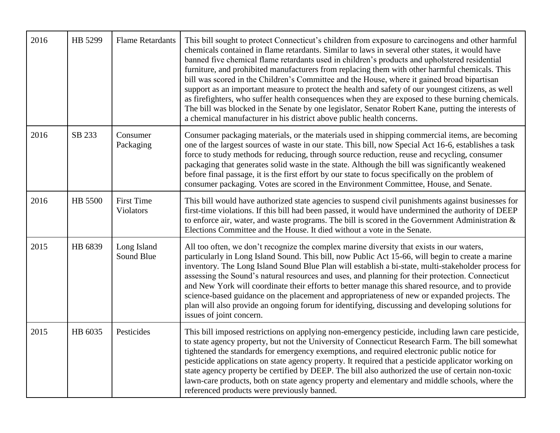| 2016 | HB 5299 | <b>Flame Retardants</b>        | This bill sought to protect Connecticut's children from exposure to carcinogens and other harmful<br>chemicals contained in flame retardants. Similar to laws in several other states, it would have<br>banned five chemical flame retardants used in children's products and upholstered residential<br>furniture, and prohibited manufacturers from replacing them with other harmful chemicals. This<br>bill was scored in the Children's Committee and the House, where it gained broad bipartisan<br>support as an important measure to protect the health and safety of our youngest citizens, as well<br>as firefighters, who suffer health consequences when they are exposed to these burning chemicals.<br>The bill was blocked in the Senate by one legislator, Senator Robert Kane, putting the interests of<br>a chemical manufacturer in his district above public health concerns. |
|------|---------|--------------------------------|---------------------------------------------------------------------------------------------------------------------------------------------------------------------------------------------------------------------------------------------------------------------------------------------------------------------------------------------------------------------------------------------------------------------------------------------------------------------------------------------------------------------------------------------------------------------------------------------------------------------------------------------------------------------------------------------------------------------------------------------------------------------------------------------------------------------------------------------------------------------------------------------------|
| 2016 | SB 233  | Consumer<br>Packaging          | Consumer packaging materials, or the materials used in shipping commercial items, are becoming<br>one of the largest sources of waste in our state. This bill, now Special Act 16-6, establishes a task<br>force to study methods for reducing, through source reduction, reuse and recycling, consumer<br>packaging that generates solid waste in the state. Although the bill was significantly weakened<br>before final passage, it is the first effort by our state to focus specifically on the problem of<br>consumer packaging. Votes are scored in the Environment Committee, House, and Senate.                                                                                                                                                                                                                                                                                          |
| 2016 | HB 5500 | <b>First Time</b><br>Violators | This bill would have authorized state agencies to suspend civil punishments against businesses for<br>first-time violations. If this bill had been passed, it would have undermined the authority of DEEP<br>to enforce air, water, and waste programs. The bill is scored in the Government Administration $\&$<br>Elections Committee and the House. It died without a vote in the Senate.                                                                                                                                                                                                                                                                                                                                                                                                                                                                                                      |
| 2015 | HB 6839 | Long Island<br>Sound Blue      | All too often, we don't recognize the complex marine diversity that exists in our waters,<br>particularly in Long Island Sound. This bill, now Public Act 15-66, will begin to create a marine<br>inventory. The Long Island Sound Blue Plan will establish a bi-state, multi-stakeholder process for<br>assessing the Sound's natural resources and uses, and planning for their protection. Connecticut<br>and New York will coordinate their efforts to better manage this shared resource, and to provide<br>science-based guidance on the placement and appropriateness of new or expanded projects. The<br>plan will also provide an ongoing forum for identifying, discussing and developing solutions for<br>issues of joint concern.                                                                                                                                                     |
| 2015 | HB 6035 | Pesticides                     | This bill imposed restrictions on applying non-emergency pesticide, including lawn care pesticide,<br>to state agency property, but not the University of Connecticut Research Farm. The bill somewhat<br>tightened the standards for emergency exemptions, and required electronic public notice for<br>pesticide applications on state agency property. It required that a pesticide applicator working on<br>state agency property be certified by DEEP. The bill also authorized the use of certain non-toxic<br>lawn-care products, both on state agency property and elementary and middle schools, where the<br>referenced products were previously banned.                                                                                                                                                                                                                                |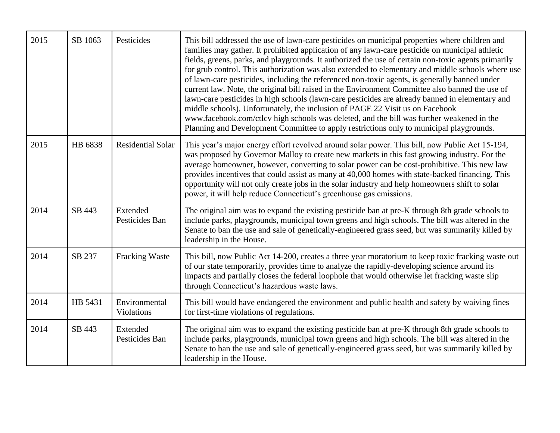| 2015 | SB 1063 | Pesticides                  | This bill addressed the use of lawn-care pesticides on municipal properties where children and<br>families may gather. It prohibited application of any lawn-care pesticide on municipal athletic<br>fields, greens, parks, and playgrounds. It authorized the use of certain non-toxic agents primarily<br>for grub control. This authorization was also extended to elementary and middle schools where use<br>of lawn-care pesticides, including the referenced non-toxic agents, is generally banned under<br>current law. Note, the original bill raised in the Environment Committee also banned the use of<br>lawn-care pesticides in high schools (lawn-care pesticides are already banned in elementary and<br>middle schools). Unfortunately, the inclusion of PAGE 22 Visit us on Facebook<br>www.facebook.com/ctlcv high schools was deleted, and the bill was further weakened in the<br>Planning and Development Committee to apply restrictions only to municipal playgrounds. |
|------|---------|-----------------------------|-----------------------------------------------------------------------------------------------------------------------------------------------------------------------------------------------------------------------------------------------------------------------------------------------------------------------------------------------------------------------------------------------------------------------------------------------------------------------------------------------------------------------------------------------------------------------------------------------------------------------------------------------------------------------------------------------------------------------------------------------------------------------------------------------------------------------------------------------------------------------------------------------------------------------------------------------------------------------------------------------|
| 2015 | HB 6838 | <b>Residential Solar</b>    | This year's major energy effort revolved around solar power. This bill, now Public Act 15-194,<br>was proposed by Governor Malloy to create new markets in this fast growing industry. For the<br>average homeowner, however, converting to solar power can be cost-prohibitive. This new law<br>provides incentives that could assist as many at 40,000 homes with state-backed financing. This<br>opportunity will not only create jobs in the solar industry and help homeowners shift to solar<br>power, it will help reduce Connecticut's greenhouse gas emissions.                                                                                                                                                                                                                                                                                                                                                                                                                      |
| 2014 | SB 443  | Extended<br>Pesticides Ban  | The original aim was to expand the existing pesticide ban at pre-K through 8th grade schools to<br>include parks, playgrounds, municipal town greens and high schools. The bill was altered in the<br>Senate to ban the use and sale of genetically-engineered grass seed, but was summarily killed by<br>leadership in the House.                                                                                                                                                                                                                                                                                                                                                                                                                                                                                                                                                                                                                                                            |
| 2014 | SB 237  | <b>Fracking Waste</b>       | This bill, now Public Act 14-200, creates a three year moratorium to keep toxic fracking waste out<br>of our state temporarily, provides time to analyze the rapidly-developing science around its<br>impacts and partially closes the federal loophole that would otherwise let fracking waste slip<br>through Connecticut's hazardous waste laws.                                                                                                                                                                                                                                                                                                                                                                                                                                                                                                                                                                                                                                           |
| 2014 | HB 5431 | Environmental<br>Violations | This bill would have endangered the environment and public health and safety by waiving fines<br>for first-time violations of regulations.                                                                                                                                                                                                                                                                                                                                                                                                                                                                                                                                                                                                                                                                                                                                                                                                                                                    |
| 2014 | SB 443  | Extended<br>Pesticides Ban  | The original aim was to expand the existing pesticide ban at pre-K through 8th grade schools to<br>include parks, playgrounds, municipal town greens and high schools. The bill was altered in the<br>Senate to ban the use and sale of genetically-engineered grass seed, but was summarily killed by<br>leadership in the House.                                                                                                                                                                                                                                                                                                                                                                                                                                                                                                                                                                                                                                                            |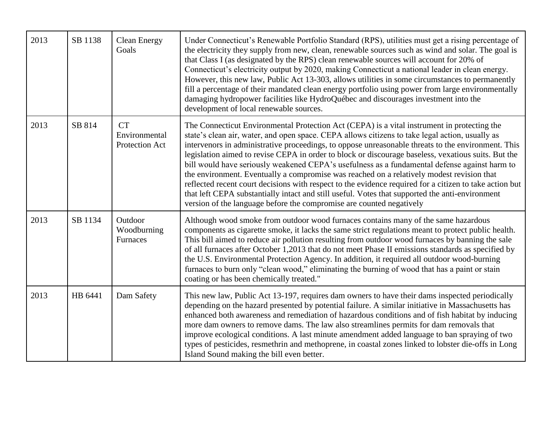| 2013 | SB 1138 | <b>Clean Energy</b><br>Goals                 | Under Connecticut's Renewable Portfolio Standard (RPS), utilities must get a rising percentage of<br>the electricity they supply from new, clean, renewable sources such as wind and solar. The goal is<br>that Class I (as designated by the RPS) clean renewable sources will account for 20% of<br>Connecticut's electricity output by 2020, making Connecticut a national leader in clean energy.<br>However, this new law, Public Act 13-303, allows utilities in some circumstances to permanently<br>fill a percentage of their mandated clean energy portfolio using power from large environmentally<br>damaging hydropower facilities like HydroQuébec and discourages investment into the<br>development of local renewable sources.                                                                                                                                                 |
|------|---------|----------------------------------------------|-------------------------------------------------------------------------------------------------------------------------------------------------------------------------------------------------------------------------------------------------------------------------------------------------------------------------------------------------------------------------------------------------------------------------------------------------------------------------------------------------------------------------------------------------------------------------------------------------------------------------------------------------------------------------------------------------------------------------------------------------------------------------------------------------------------------------------------------------------------------------------------------------|
| 2013 | SB 814  | <b>CT</b><br>Environmental<br>Protection Act | The Connecticut Environmental Protection Act (CEPA) is a vital instrument in protecting the<br>state's clean air, water, and open space. CEPA allows citizens to take legal action, usually as<br>intervenors in administrative proceedings, to oppose unreasonable threats to the environment. This<br>legislation aimed to revise CEPA in order to block or discourage baseless, vexatious suits. But the<br>bill would have seriously weakened CEPA's usefulness as a fundamental defense against harm to<br>the environment. Eventually a compromise was reached on a relatively modest revision that<br>reflected recent court decisions with respect to the evidence required for a citizen to take action but<br>that left CEPA substantially intact and still useful. Votes that supported the anti-environment<br>version of the language before the compromise are counted negatively |
| 2013 | SB 1134 | Outdoor<br>Woodburning<br>Furnaces           | Although wood smoke from outdoor wood furnaces contains many of the same hazardous<br>components as cigarette smoke, it lacks the same strict regulations meant to protect public health.<br>This bill aimed to reduce air pollution resulting from outdoor wood furnaces by banning the sale<br>of all furnaces after October 1,2013 that do not meet Phase II emissions standards as specified by<br>the U.S. Environmental Protection Agency. In addition, it required all outdoor wood-burning<br>furnaces to burn only "clean wood," eliminating the burning of wood that has a paint or stain<br>coating or has been chemically treated."                                                                                                                                                                                                                                                 |
| 2013 | HB 6441 | Dam Safety                                   | This new law, Public Act 13-197, requires dam owners to have their dams inspected periodically<br>depending on the hazard presented by potential failure. A similar initiative in Massachusetts has<br>enhanced both awareness and remediation of hazardous conditions and of fish habitat by inducing<br>more dam owners to remove dams. The law also streamlines permits for dam removals that<br>improve ecological conditions. A last minute amendment added language to ban spraying of two<br>types of pesticides, resmethrin and methoprene, in coastal zones linked to lobster die-offs in Long<br>Island Sound making the bill even better.                                                                                                                                                                                                                                            |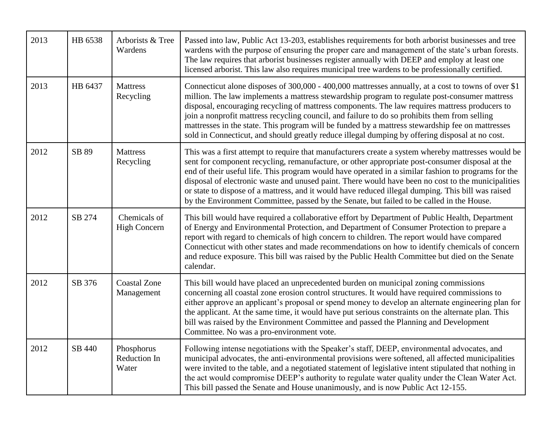| 2013 | HB 6538 | Arborists & Tree<br>Wardens         | Passed into law, Public Act 13-203, establishes requirements for both arborist businesses and tree<br>wardens with the purpose of ensuring the proper care and management of the state's urban forests.<br>The law requires that arborist businesses register annually with DEEP and employ at least one<br>licensed arborist. This law also requires municipal tree wardens to be professionally certified.                                                                                                                                                                                                          |
|------|---------|-------------------------------------|-----------------------------------------------------------------------------------------------------------------------------------------------------------------------------------------------------------------------------------------------------------------------------------------------------------------------------------------------------------------------------------------------------------------------------------------------------------------------------------------------------------------------------------------------------------------------------------------------------------------------|
| 2013 | HB 6437 | <b>Mattress</b><br>Recycling        | Connecticut alone disposes of 300,000 - 400,000 mattresses annually, at a cost to towns of over \$1<br>million. The law implements a mattress stewardship program to regulate post-consumer mattress<br>disposal, encouraging recycling of mattress components. The law requires mattress producers to<br>join a nonprofit mattress recycling council, and failure to do so prohibits them from selling<br>mattresses in the state. This program will be funded by a mattress stewardship fee on mattresses<br>sold in Connecticut, and should greatly reduce illegal dumping by offering disposal at no cost.        |
| 2012 | SB 89   | <b>Mattress</b><br>Recycling        | This was a first attempt to require that manufacturers create a system whereby mattresses would be<br>sent for component recycling, remanufacture, or other appropriate post-consumer disposal at the<br>end of their useful life. This program would have operated in a similar fashion to programs for the<br>disposal of electronic waste and unused paint. There would have been no cost to the municipalities<br>or state to dispose of a mattress, and it would have reduced illegal dumping. This bill was raised<br>by the Environment Committee, passed by the Senate, but failed to be called in the House. |
| 2012 | SB 274  | Chemicals of<br><b>High Concern</b> | This bill would have required a collaborative effort by Department of Public Health, Department<br>of Energy and Environmental Protection, and Department of Consumer Protection to prepare a<br>report with regard to chemicals of high concern to children. The report would have compared<br>Connecticut with other states and made recommendations on how to identify chemicals of concern<br>and reduce exposure. This bill was raised by the Public Health Committee but died on the Senate<br>calendar.                                                                                                        |
| 2012 | SB 376  | <b>Coastal Zone</b><br>Management   | This bill would have placed an unprecedented burden on municipal zoning commissions<br>concerning all coastal zone erosion control structures. It would have required commissions to<br>either approve an applicant's proposal or spend money to develop an alternate engineering plan for<br>the applicant. At the same time, it would have put serious constraints on the alternate plan. This<br>bill was raised by the Environment Committee and passed the Planning and Development<br>Committee. No was a pro-environment vote.                                                                                 |
| 2012 | SB 440  | Phosphorus<br>Reduction In<br>Water | Following intense negotiations with the Speaker's staff, DEEP, environmental advocates, and<br>municipal advocates, the anti-environmental provisions were softened, all affected municipalities<br>were invited to the table, and a negotiated statement of legislative intent stipulated that nothing in<br>the act would compromise DEEP's authority to regulate water quality under the Clean Water Act.<br>This bill passed the Senate and House unanimously, and is now Public Act 12-155.                                                                                                                      |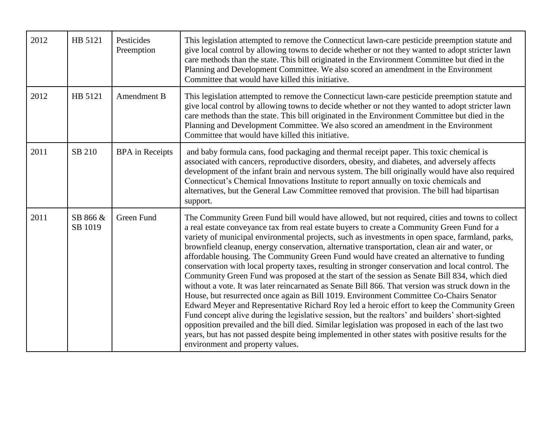| 2012 | HB 5121             | Pesticides<br>Preemption | This legislation attempted to remove the Connecticut lawn-care pesticide preemption statute and<br>give local control by allowing towns to decide whether or not they wanted to adopt stricter lawn<br>care methods than the state. This bill originated in the Environment Committee but died in the<br>Planning and Development Committee. We also scored an amendment in the Environment<br>Committee that would have killed this initiative.                                                                                                                                                                                                                                                                                                                                                                                                                                                                                                                                                                                                                                                                                                                                                                                                                                                                                                     |
|------|---------------------|--------------------------|------------------------------------------------------------------------------------------------------------------------------------------------------------------------------------------------------------------------------------------------------------------------------------------------------------------------------------------------------------------------------------------------------------------------------------------------------------------------------------------------------------------------------------------------------------------------------------------------------------------------------------------------------------------------------------------------------------------------------------------------------------------------------------------------------------------------------------------------------------------------------------------------------------------------------------------------------------------------------------------------------------------------------------------------------------------------------------------------------------------------------------------------------------------------------------------------------------------------------------------------------------------------------------------------------------------------------------------------------|
| 2012 | HB 5121             | Amendment B              | This legislation attempted to remove the Connecticut lawn-care pesticide preemption statute and<br>give local control by allowing towns to decide whether or not they wanted to adopt stricter lawn<br>care methods than the state. This bill originated in the Environment Committee but died in the<br>Planning and Development Committee. We also scored an amendment in the Environment<br>Committee that would have killed this initiative.                                                                                                                                                                                                                                                                                                                                                                                                                                                                                                                                                                                                                                                                                                                                                                                                                                                                                                     |
| 2011 | SB 210              | <b>BPA</b> in Receipts   | and baby formula cans, food packaging and thermal receipt paper. This toxic chemical is<br>associated with cancers, reproductive disorders, obesity, and diabetes, and adversely affects<br>development of the infant brain and nervous system. The bill originally would have also required<br>Connecticut's Chemical Innovations Institute to report annually on toxic chemicals and<br>alternatives, but the General Law Committee removed that provision. The bill had bipartisan<br>support.                                                                                                                                                                                                                                                                                                                                                                                                                                                                                                                                                                                                                                                                                                                                                                                                                                                    |
| 2011 | SB 866 &<br>SB 1019 | Green Fund               | The Community Green Fund bill would have allowed, but not required, cities and towns to collect<br>a real estate conveyance tax from real estate buyers to create a Community Green Fund for a<br>variety of municipal environmental projects, such as investments in open space, farmland, parks,<br>brownfield cleanup, energy conservation, alternative transportation, clean air and water, or<br>affordable housing. The Community Green Fund would have created an alternative to funding<br>conservation with local property taxes, resulting in stronger conservation and local control. The<br>Community Green Fund was proposed at the start of the session as Senate Bill 834, which died<br>without a vote. It was later reincarnated as Senate Bill 866. That version was struck down in the<br>House, but resurrected once again as Bill 1019. Environment Committee Co-Chairs Senator<br>Edward Meyer and Representative Richard Roy led a heroic effort to keep the Community Green<br>Fund concept alive during the legislative session, but the realtors' and builders' short-sighted<br>opposition prevailed and the bill died. Similar legislation was proposed in each of the last two<br>years, but has not passed despite being implemented in other states with positive results for the<br>environment and property values. |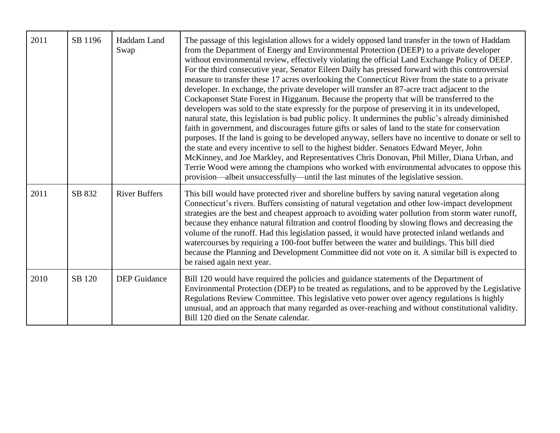| 2011 | SB 1196 | Haddam Land<br>Swap  | The passage of this legislation allows for a widely opposed land transfer in the town of Haddam<br>from the Department of Energy and Environmental Protection (DEEP) to a private developer<br>without environmental review, effectively violating the official Land Exchange Policy of DEEP.<br>For the third consecutive year, Senator Eileen Daily has pressed forward with this controversial<br>measure to transfer these 17 acres overlooking the Connecticut River from the state to a private<br>developer. In exchange, the private developer will transfer an 87-acre tract adjacent to the<br>Cockaponset State Forest in Higganum. Because the property that will be transferred to the<br>developers was sold to the state expressly for the purpose of preserving it in its undeveloped,<br>natural state, this legislation is bad public policy. It undermines the public's already diminished<br>faith in government, and discourages future gifts or sales of land to the state for conservation<br>purposes. If the land is going to be developed anyway, sellers have no incentive to donate or sell to<br>the state and every incentive to sell to the highest bidder. Senators Edward Meyer, John<br>McKinney, and Joe Markley, and Representatives Chris Donovan, Phil Miller, Diana Urban, and<br>Terrie Wood were among the champions who worked with environmental advocates to oppose this<br>provision—albeit unsuccessfully—until the last minutes of the legislative session. |
|------|---------|----------------------|------------------------------------------------------------------------------------------------------------------------------------------------------------------------------------------------------------------------------------------------------------------------------------------------------------------------------------------------------------------------------------------------------------------------------------------------------------------------------------------------------------------------------------------------------------------------------------------------------------------------------------------------------------------------------------------------------------------------------------------------------------------------------------------------------------------------------------------------------------------------------------------------------------------------------------------------------------------------------------------------------------------------------------------------------------------------------------------------------------------------------------------------------------------------------------------------------------------------------------------------------------------------------------------------------------------------------------------------------------------------------------------------------------------------------------------------------------------------------------------------------------|
| 2011 | SB 832  | <b>River Buffers</b> | This bill would have protected river and shoreline buffers by saving natural vegetation along<br>Connecticut's rivers. Buffers consisting of natural vegetation and other low-impact development<br>strategies are the best and cheapest approach to avoiding water pollution from storm water runoff,<br>because they enhance natural filtration and control flooding by slowing flows and decreasing the<br>volume of the runoff. Had this legislation passed, it would have protected inland wetlands and<br>watercourses by requiring a 100-foot buffer between the water and buildings. This bill died<br>because the Planning and Development Committee did not vote on it. A similar bill is expected to<br>be raised again next year.                                                                                                                                                                                                                                                                                                                                                                                                                                                                                                                                                                                                                                                                                                                                                              |
| 2010 | SB 120  | <b>DEP</b> Guidance  | Bill 120 would have required the policies and guidance statements of the Department of<br>Environmental Protection (DEP) to be treated as regulations, and to be approved by the Legislative<br>Regulations Review Committee. This legislative veto power over agency regulations is highly<br>unusual, and an approach that many regarded as over-reaching and without constitutional validity.<br>Bill 120 died on the Senate calendar.                                                                                                                                                                                                                                                                                                                                                                                                                                                                                                                                                                                                                                                                                                                                                                                                                                                                                                                                                                                                                                                                  |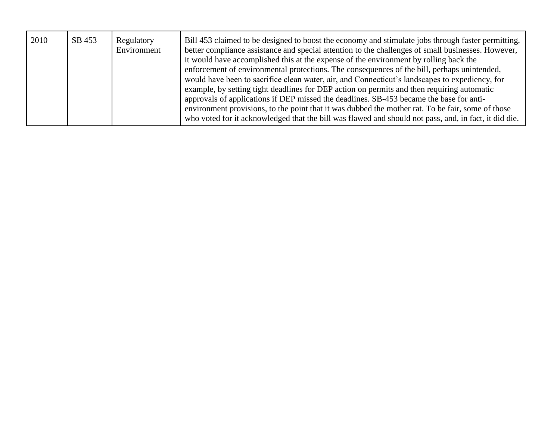| 2010 | SB 453 | Regulatory<br>Environment | Bill 453 claimed to be designed to boost the economy and stimulate jobs through faster permitting,<br>better compliance assistance and special attention to the challenges of small businesses. However,<br>it would have accomplished this at the expense of the environment by rolling back the<br>enforcement of environmental protections. The consequences of the bill, perhaps unintended,<br>would have been to sacrifice clean water, air, and Connecticut's landscapes to expediency, for<br>example, by setting tight deadlines for DEP action on permits and then requiring automatic<br>approvals of applications if DEP missed the deadlines. SB-453 became the base for anti-<br>environment provisions, to the point that it was dubbed the mother rat. To be fair, some of those<br>who voted for it acknowledged that the bill was flawed and should not pass, and, in fact, it did die. |
|------|--------|---------------------------|-----------------------------------------------------------------------------------------------------------------------------------------------------------------------------------------------------------------------------------------------------------------------------------------------------------------------------------------------------------------------------------------------------------------------------------------------------------------------------------------------------------------------------------------------------------------------------------------------------------------------------------------------------------------------------------------------------------------------------------------------------------------------------------------------------------------------------------------------------------------------------------------------------------|
|------|--------|---------------------------|-----------------------------------------------------------------------------------------------------------------------------------------------------------------------------------------------------------------------------------------------------------------------------------------------------------------------------------------------------------------------------------------------------------------------------------------------------------------------------------------------------------------------------------------------------------------------------------------------------------------------------------------------------------------------------------------------------------------------------------------------------------------------------------------------------------------------------------------------------------------------------------------------------------|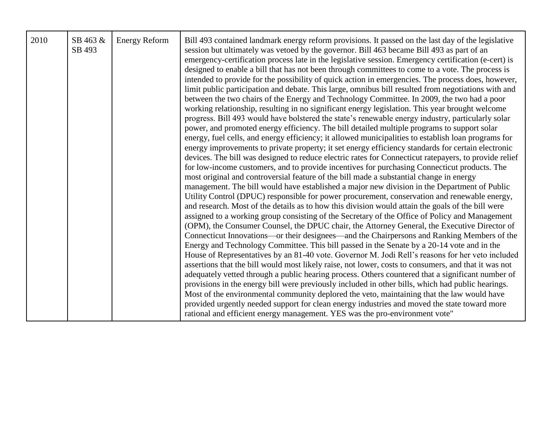| 2010 | SB 463 &<br>SB 493 | <b>Energy Reform</b> | Bill 493 contained landmark energy reform provisions. It passed on the last day of the legislative<br>session but ultimately was vetoed by the governor. Bill 463 became Bill 493 as part of an<br>emergency-certification process late in the legislative session. Emergency certification (e-cert) is<br>designed to enable a bill that has not been through committees to come to a vote. The process is<br>intended to provide for the possibility of quick action in emergencies. The process does, however,<br>limit public participation and debate. This large, omnibus bill resulted from negotiations with and<br>between the two chairs of the Energy and Technology Committee. In 2009, the two had a poor<br>working relationship, resulting in no significant energy legislation. This year brought welcome<br>progress. Bill 493 would have bolstered the state's renewable energy industry, particularly solar<br>power, and promoted energy efficiency. The bill detailed multiple programs to support solar<br>energy, fuel cells, and energy efficiency; it allowed municipalities to establish loan programs for<br>energy improvements to private property; it set energy efficiency standards for certain electronic<br>devices. The bill was designed to reduce electric rates for Connecticut ratepayers, to provide relief<br>for low-income customers, and to provide incentives for purchasing Connecticut products. The<br>most original and controversial feature of the bill made a substantial change in energy<br>management. The bill would have established a major new division in the Department of Public<br>Utility Control (DPUC) responsible for power procurement, conservation and renewable energy,<br>and research. Most of the details as to how this division would attain the goals of the bill were<br>assigned to a working group consisting of the Secretary of the Office of Policy and Management<br>(OPM), the Consumer Counsel, the DPUC chair, the Attorney General, the Executive Director of<br>Connecticut Innovations—or their designees—and the Chairpersons and Ranking Members of the<br>Energy and Technology Committee. This bill passed in the Senate by a 20-14 vote and in the<br>House of Representatives by an 81-40 vote. Governor M. Jodi Rell's reasons for her veto included<br>assertions that the bill would most likely raise, not lower, costs to consumers, and that it was not<br>adequately vetted through a public hearing process. Others countered that a significant number of<br>provisions in the energy bill were previously included in other bills, which had public hearings.<br>Most of the environmental community deplored the veto, maintaining that the law would have<br>provided urgently needed support for clean energy industries and moved the state toward more<br>rational and efficient energy management. YES was the pro-environment vote" |
|------|--------------------|----------------------|------------------------------------------------------------------------------------------------------------------------------------------------------------------------------------------------------------------------------------------------------------------------------------------------------------------------------------------------------------------------------------------------------------------------------------------------------------------------------------------------------------------------------------------------------------------------------------------------------------------------------------------------------------------------------------------------------------------------------------------------------------------------------------------------------------------------------------------------------------------------------------------------------------------------------------------------------------------------------------------------------------------------------------------------------------------------------------------------------------------------------------------------------------------------------------------------------------------------------------------------------------------------------------------------------------------------------------------------------------------------------------------------------------------------------------------------------------------------------------------------------------------------------------------------------------------------------------------------------------------------------------------------------------------------------------------------------------------------------------------------------------------------------------------------------------------------------------------------------------------------------------------------------------------------------------------------------------------------------------------------------------------------------------------------------------------------------------------------------------------------------------------------------------------------------------------------------------------------------------------------------------------------------------------------------------------------------------------------------------------------------------------------------------------------------------------------------------------------------------------------------------------------------------------------------------------------------------------------------------------------------------------------------------------------------------------------------------------------------------------------------------------------------------------------------------------------------------------------------------------------------------------------------------------------------------------------------|
|------|--------------------|----------------------|------------------------------------------------------------------------------------------------------------------------------------------------------------------------------------------------------------------------------------------------------------------------------------------------------------------------------------------------------------------------------------------------------------------------------------------------------------------------------------------------------------------------------------------------------------------------------------------------------------------------------------------------------------------------------------------------------------------------------------------------------------------------------------------------------------------------------------------------------------------------------------------------------------------------------------------------------------------------------------------------------------------------------------------------------------------------------------------------------------------------------------------------------------------------------------------------------------------------------------------------------------------------------------------------------------------------------------------------------------------------------------------------------------------------------------------------------------------------------------------------------------------------------------------------------------------------------------------------------------------------------------------------------------------------------------------------------------------------------------------------------------------------------------------------------------------------------------------------------------------------------------------------------------------------------------------------------------------------------------------------------------------------------------------------------------------------------------------------------------------------------------------------------------------------------------------------------------------------------------------------------------------------------------------------------------------------------------------------------------------------------------------------------------------------------------------------------------------------------------------------------------------------------------------------------------------------------------------------------------------------------------------------------------------------------------------------------------------------------------------------------------------------------------------------------------------------------------------------------------------------------------------------------------------------------------------------------|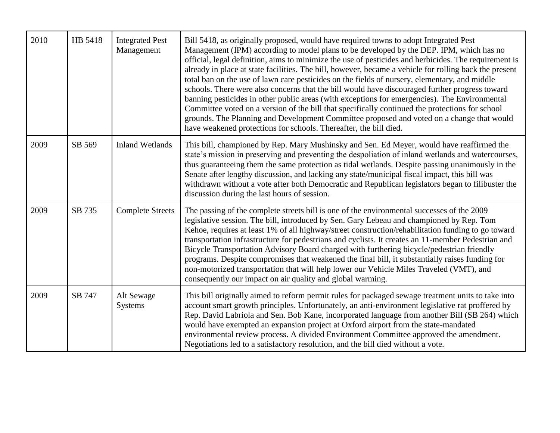| 2010 | HB 5418 | <b>Integrated Pest</b><br>Management | Bill 5418, as originally proposed, would have required towns to adopt Integrated Pest<br>Management (IPM) according to model plans to be developed by the DEP. IPM, which has no<br>official, legal definition, aims to minimize the use of pesticides and herbicides. The requirement is<br>already in place at state facilities. The bill, however, became a vehicle for rolling back the present<br>total ban on the use of lawn care pesticides on the fields of nursery, elementary, and middle<br>schools. There were also concerns that the bill would have discouraged further progress toward<br>banning pesticides in other public areas (with exceptions for emergencies). The Environmental<br>Committee voted on a version of the bill that specifically continued the protections for school<br>grounds. The Planning and Development Committee proposed and voted on a change that would<br>have weakened protections for schools. Thereafter, the bill died. |
|------|---------|--------------------------------------|------------------------------------------------------------------------------------------------------------------------------------------------------------------------------------------------------------------------------------------------------------------------------------------------------------------------------------------------------------------------------------------------------------------------------------------------------------------------------------------------------------------------------------------------------------------------------------------------------------------------------------------------------------------------------------------------------------------------------------------------------------------------------------------------------------------------------------------------------------------------------------------------------------------------------------------------------------------------------|
| 2009 | SB 569  | <b>Inland Wetlands</b>               | This bill, championed by Rep. Mary Mushinsky and Sen. Ed Meyer, would have reaffirmed the<br>state's mission in preserving and preventing the despoliation of inland wetlands and watercourses,<br>thus guaranteeing them the same protection as tidal wetlands. Despite passing unanimously in the<br>Senate after lengthy discussion, and lacking any state/municipal fiscal impact, this bill was<br>withdrawn without a vote after both Democratic and Republican legislators began to filibuster the<br>discussion during the last hours of session.                                                                                                                                                                                                                                                                                                                                                                                                                    |
| 2009 | SB 735  | <b>Complete Streets</b>              | The passing of the complete streets bill is one of the environmental successes of the 2009<br>legislative session. The bill, introduced by Sen. Gary Lebeau and championed by Rep. Tom<br>Kehoe, requires at least 1% of all highway/street construction/rehabilitation funding to go toward<br>transportation infrastructure for pedestrians and cyclists. It creates an 11-member Pedestrian and<br>Bicycle Transportation Advisory Board charged with furthering bicycle/pedestrian friendly<br>programs. Despite compromises that weakened the final bill, it substantially raises funding for<br>non-motorized transportation that will help lower our Vehicle Miles Traveled (VMT), and<br>consequently our impact on air quality and global warming.                                                                                                                                                                                                                  |
| 2009 | SB 747  | Alt Sewage<br><b>Systems</b>         | This bill originally aimed to reform permit rules for packaged sewage treatment units to take into<br>account smart growth principles. Unfortunately, an anti-environment legislative rat proffered by<br>Rep. David Labriola and Sen. Bob Kane, incorporated language from another Bill (SB 264) which<br>would have exempted an expansion project at Oxford airport from the state-mandated<br>environmental review process. A divided Environment Committee approved the amendment.<br>Negotiations led to a satisfactory resolution, and the bill died without a vote.                                                                                                                                                                                                                                                                                                                                                                                                   |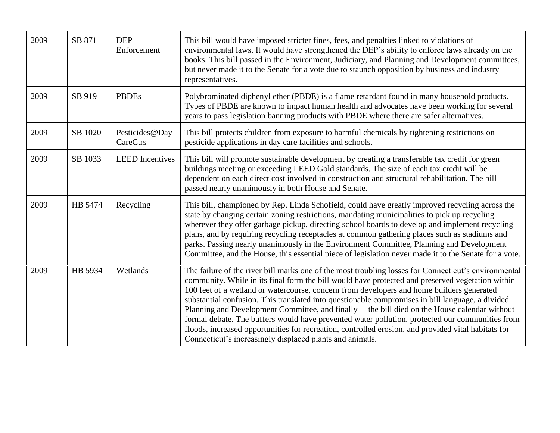| 2009 | SB 871  | <b>DEP</b><br>Enforcement  | This bill would have imposed stricter fines, fees, and penalties linked to violations of<br>environmental laws. It would have strengthened the DEP's ability to enforce laws already on the<br>books. This bill passed in the Environment, Judiciary, and Planning and Development committees,<br>but never made it to the Senate for a vote due to staunch opposition by business and industry<br>representatives.                                                                                                                                                                                                                                                                                                                                                             |
|------|---------|----------------------------|---------------------------------------------------------------------------------------------------------------------------------------------------------------------------------------------------------------------------------------------------------------------------------------------------------------------------------------------------------------------------------------------------------------------------------------------------------------------------------------------------------------------------------------------------------------------------------------------------------------------------------------------------------------------------------------------------------------------------------------------------------------------------------|
| 2009 | SB 919  | <b>PBDEs</b>               | Polybrominated diphenyl ether (PBDE) is a flame retardant found in many household products.<br>Types of PBDE are known to impact human health and advocates have been working for several<br>years to pass legislation banning products with PBDE where there are safer alternatives.                                                                                                                                                                                                                                                                                                                                                                                                                                                                                           |
| 2009 | SB 1020 | Pesticides@Day<br>CareCtrs | This bill protects children from exposure to harmful chemicals by tightening restrictions on<br>pesticide applications in day care facilities and schools.                                                                                                                                                                                                                                                                                                                                                                                                                                                                                                                                                                                                                      |
| 2009 | SB 1033 | <b>LEED</b> Incentives     | This bill will promote sustainable development by creating a transferable tax credit for green<br>buildings meeting or exceeding LEED Gold standards. The size of each tax credit will be<br>dependent on each direct cost involved in construction and structural rehabilitation. The bill<br>passed nearly unanimously in both House and Senate.                                                                                                                                                                                                                                                                                                                                                                                                                              |
| 2009 | HB 5474 | Recycling                  | This bill, championed by Rep. Linda Schofield, could have greatly improved recycling across the<br>state by changing certain zoning restrictions, mandating municipalities to pick up recycling<br>wherever they offer garbage pickup, directing school boards to develop and implement recycling<br>plans, and by requiring recycling receptacles at common gathering places such as stadiums and<br>parks. Passing nearly unanimously in the Environment Committee, Planning and Development<br>Committee, and the House, this essential piece of legislation never made it to the Senate for a vote.                                                                                                                                                                         |
| 2009 | HB 5934 | Wetlands                   | The failure of the river bill marks one of the most troubling losses for Connecticut's environmental<br>community. While in its final form the bill would have protected and preserved vegetation within<br>100 feet of a wetland or watercourse, concern from developers and home builders generated<br>substantial confusion. This translated into questionable compromises in bill language, a divided<br>Planning and Development Committee, and finally— the bill died on the House calendar without<br>formal debate. The buffers would have prevented water pollution, protected our communities from<br>floods, increased opportunities for recreation, controlled erosion, and provided vital habitats for<br>Connecticut's increasingly displaced plants and animals. |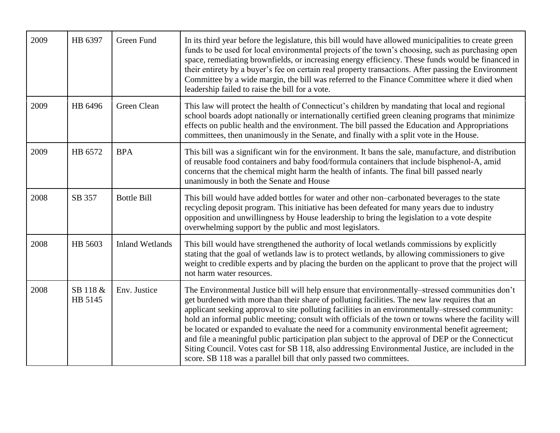| 2009 | HB 6397             | Green Fund             | In its third year before the legislature, this bill would have allowed municipalities to create green<br>funds to be used for local environmental projects of the town's choosing, such as purchasing open<br>space, remediating brownfields, or increasing energy efficiency. These funds would be financed in<br>their entirety by a buyer's fee on certain real property transactions. After passing the Environment<br>Committee by a wide margin, the bill was referred to the Finance Committee where it died when<br>leadership failed to raise the bill for a vote.                                                                                                                                                                                                                   |
|------|---------------------|------------------------|-----------------------------------------------------------------------------------------------------------------------------------------------------------------------------------------------------------------------------------------------------------------------------------------------------------------------------------------------------------------------------------------------------------------------------------------------------------------------------------------------------------------------------------------------------------------------------------------------------------------------------------------------------------------------------------------------------------------------------------------------------------------------------------------------|
| 2009 | HB 6496             | Green Clean            | This law will protect the health of Connecticut's children by mandating that local and regional<br>school boards adopt nationally or internationally certified green cleaning programs that minimize<br>effects on public health and the environment. The bill passed the Education and Appropriations<br>committees, then unanimously in the Senate, and finally with a split vote in the House.                                                                                                                                                                                                                                                                                                                                                                                             |
| 2009 | HB 6572             | <b>BPA</b>             | This bill was a significant win for the environment. It bans the sale, manufacture, and distribution<br>of reusable food containers and baby food/formula containers that include bisphenol-A, amid<br>concerns that the chemical might harm the health of infants. The final bill passed nearly<br>unanimously in both the Senate and House                                                                                                                                                                                                                                                                                                                                                                                                                                                  |
| 2008 | SB 357              | <b>Bottle Bill</b>     | This bill would have added bottles for water and other non-carbonated beverages to the state<br>recycling deposit program. This initiative has been defeated for many years due to industry<br>opposition and unwillingness by House leadership to bring the legislation to a vote despite<br>overwhelming support by the public and most legislators.                                                                                                                                                                                                                                                                                                                                                                                                                                        |
| 2008 | HB 5603             | <b>Inland Wetlands</b> | This bill would have strengthened the authority of local wetlands commissions by explicitly<br>stating that the goal of wetlands law is to protect wetlands, by allowing commissioners to give<br>weight to credible experts and by placing the burden on the applicant to prove that the project will<br>not harm water resources.                                                                                                                                                                                                                                                                                                                                                                                                                                                           |
| 2008 | SB 118 &<br>HB 5145 | Env. Justice           | The Environmental Justice bill will help ensure that environmentally-stressed communities don't<br>get burdened with more than their share of polluting facilities. The new law requires that an<br>applicant seeking approval to site polluting facilities in an environmentally–stressed community:<br>hold an informal public meeting; consult with officials of the town or towns where the facility will<br>be located or expanded to evaluate the need for a community environmental benefit agreement;<br>and file a meaningful public participation plan subject to the approval of DEP or the Connecticut<br>Siting Council. Votes cast for SB 118, also addressing Environmental Justice, are included in the<br>score. SB 118 was a parallel bill that only passed two committees. |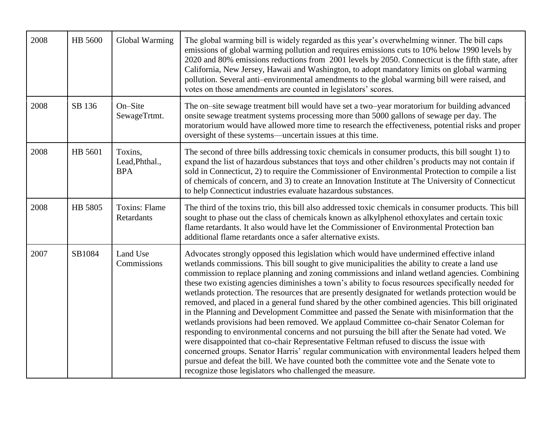| 2008 | HB 5600 | Global Warming                          | The global warming bill is widely regarded as this year's overwhelming winner. The bill caps<br>emissions of global warming pollution and requires emissions cuts to 10% below 1990 levels by<br>2020 and 80% emissions reductions from 2001 levels by 2050. Connecticut is the fifth state, after<br>California, New Jersey, Hawaii and Washington, to adopt mandatory limits on global warming<br>pollution. Several anti-environmental amendments to the global warming bill were raised, and<br>votes on those amendments are counted in legislators' scores.                                                                                                                                                                                                                                                                                                                                                                                                                                                                                                                                                                                                                                                                                             |
|------|---------|-----------------------------------------|---------------------------------------------------------------------------------------------------------------------------------------------------------------------------------------------------------------------------------------------------------------------------------------------------------------------------------------------------------------------------------------------------------------------------------------------------------------------------------------------------------------------------------------------------------------------------------------------------------------------------------------------------------------------------------------------------------------------------------------------------------------------------------------------------------------------------------------------------------------------------------------------------------------------------------------------------------------------------------------------------------------------------------------------------------------------------------------------------------------------------------------------------------------------------------------------------------------------------------------------------------------|
| 2008 | SB 136  | On-Site<br>SewageTrtmt.                 | The on-site sewage treatment bill would have set a two-year moratorium for building advanced<br>onsite sewage treatment systems processing more than 5000 gallons of sewage per day. The<br>moratorium would have allowed more time to research the effectiveness, potential risks and proper<br>oversight of these systems—uncertain issues at this time.                                                                                                                                                                                                                                                                                                                                                                                                                                                                                                                                                                                                                                                                                                                                                                                                                                                                                                    |
| 2008 | HB 5601 | Toxins,<br>Lead, Phthal.,<br><b>BPA</b> | The second of three bills addressing toxic chemicals in consumer products, this bill sought 1) to<br>expand the list of hazardous substances that toys and other children's products may not contain if<br>sold in Connecticut, 2) to require the Commissioner of Environmental Protection to compile a list<br>of chemicals of concern, and 3) to create an Innovation Institute at The University of Connecticut<br>to help Connecticut industries evaluate hazardous substances.                                                                                                                                                                                                                                                                                                                                                                                                                                                                                                                                                                                                                                                                                                                                                                           |
| 2008 | HB 5805 | <b>Toxins: Flame</b><br>Retardants      | The third of the toxins trio, this bill also addressed toxic chemicals in consumer products. This bill<br>sought to phase out the class of chemicals known as alkylphenol ethoxylates and certain toxic<br>flame retardants. It also would have let the Commissioner of Environmental Protection ban<br>additional flame retardants once a safer alternative exists.                                                                                                                                                                                                                                                                                                                                                                                                                                                                                                                                                                                                                                                                                                                                                                                                                                                                                          |
| 2007 | SB1084  | Land Use<br>Commissions                 | Advocates strongly opposed this legislation which would have undermined effective inland<br>wetlands commissions. This bill sought to give municipalities the ability to create a land use<br>commission to replace planning and zoning commissions and inland wetland agencies. Combining<br>these two existing agencies diminishes a town's ability to focus resources specifically needed for<br>wetlands protection. The resources that are presently designated for wetlands protection would be<br>removed, and placed in a general fund shared by the other combined agencies. This bill originated<br>in the Planning and Development Committee and passed the Senate with misinformation that the<br>wetlands provisions had been removed. We applaud Committee co-chair Senator Coleman for<br>responding to environmental concerns and not pursuing the bill after the Senate had voted. We<br>were disappointed that co-chair Representative Feltman refused to discuss the issue with<br>concerned groups. Senator Harris' regular communication with environmental leaders helped them<br>pursue and defeat the bill. We have counted both the committee vote and the Senate vote to<br>recognize those legislators who challenged the measure. |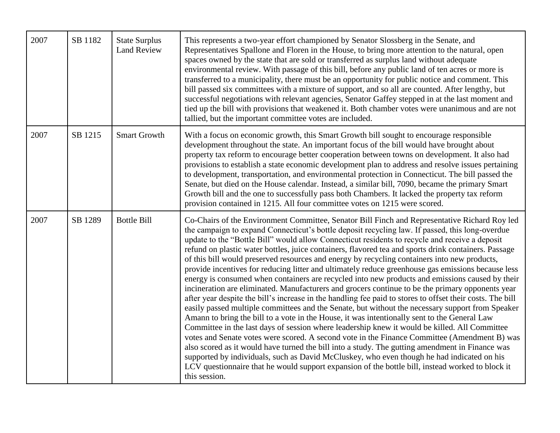| 2007 | SB 1182 | <b>State Surplus</b><br><b>Land Review</b> | This represents a two-year effort championed by Senator Slossberg in the Senate, and<br>Representatives Spallone and Floren in the House, to bring more attention to the natural, open<br>spaces owned by the state that are sold or transferred as surplus land without adequate<br>environmental review. With passage of this bill, before any public land of ten acres or more is<br>transferred to a municipality, there must be an opportunity for public notice and comment. This<br>bill passed six committees with a mixture of support, and so all are counted. After lengthy, but<br>successful negotiations with relevant agencies, Senator Gaffey stepped in at the last moment and<br>tied up the bill with provisions that weakened it. Both chamber votes were unanimous and are not<br>tallied, but the important committee votes are included.                                                                                                                                                                                                                                                                                                                                                                                                                                                                                                                                                                                                                                                                                                                                                                                                 |
|------|---------|--------------------------------------------|-----------------------------------------------------------------------------------------------------------------------------------------------------------------------------------------------------------------------------------------------------------------------------------------------------------------------------------------------------------------------------------------------------------------------------------------------------------------------------------------------------------------------------------------------------------------------------------------------------------------------------------------------------------------------------------------------------------------------------------------------------------------------------------------------------------------------------------------------------------------------------------------------------------------------------------------------------------------------------------------------------------------------------------------------------------------------------------------------------------------------------------------------------------------------------------------------------------------------------------------------------------------------------------------------------------------------------------------------------------------------------------------------------------------------------------------------------------------------------------------------------------------------------------------------------------------------------------------------------------------------------------------------------------------|
| 2007 | SB 1215 | <b>Smart Growth</b>                        | With a focus on economic growth, this Smart Growth bill sought to encourage responsible<br>development throughout the state. An important focus of the bill would have brought about<br>property tax reform to encourage better cooperation between towns on development. It also had<br>provisions to establish a state economic development plan to address and resolve issues pertaining<br>to development, transportation, and environmental protection in Connecticut. The bill passed the<br>Senate, but died on the House calendar. Instead, a similar bill, 7090, became the primary Smart<br>Growth bill and the one to successfully pass both Chambers. It lacked the property tax reform<br>provision contained in 1215. All four committee votes on 1215 were scored.                                                                                                                                                                                                                                                                                                                                                                                                                                                                                                                                                                                                                                                                                                                                                                                                                                                                               |
| 2007 | SB 1289 | <b>Bottle Bill</b>                         | Co-Chairs of the Environment Committee, Senator Bill Finch and Representative Richard Roy led<br>the campaign to expand Connecticut's bottle deposit recycling law. If passed, this long-overdue<br>update to the "Bottle Bill" would allow Connecticut residents to recycle and receive a deposit<br>refund on plastic water bottles, juice containers, flavored tea and sports drink containers. Passage<br>of this bill would preserved resources and energy by recycling containers into new products,<br>provide incentives for reducing litter and ultimately reduce greenhouse gas emissions because less<br>energy is consumed when containers are recycled into new products and emissions caused by their<br>incineration are eliminated. Manufacturers and grocers continue to be the primary opponents year<br>after year despite the bill's increase in the handling fee paid to stores to offset their costs. The bill<br>easily passed multiple committees and the Senate, but without the necessary support from Speaker<br>Amann to bring the bill to a vote in the House, it was intentionally sent to the General Law<br>Committee in the last days of session where leadership knew it would be killed. All Committee<br>votes and Senate votes were scored. A second vote in the Finance Committee (Amendment B) was<br>also scored as it would have turned the bill into a study. The gutting amendment in Finance was<br>supported by individuals, such as David McCluskey, who even though he had indicated on his<br>LCV questionnaire that he would support expansion of the bottle bill, instead worked to block it<br>this session. |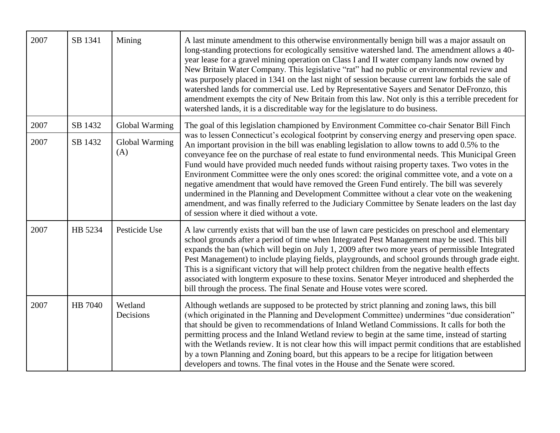| 2007 | SB 1341 | Mining                | A last minute amendment to this otherwise environmentally benign bill was a major assault on<br>long-standing protections for ecologically sensitive watershed land. The amendment allows a 40-<br>year lease for a gravel mining operation on Class I and II water company lands now owned by<br>New Britain Water Company. This legislative "rat" had no public or environmental review and<br>was purposely placed in 1341 on the last night of session because current law forbids the sale of<br>watershed lands for commercial use. Led by Representative Sayers and Senator DeFronzo, this<br>amendment exempts the city of New Britain from this law. Not only is this a terrible precedent for<br>watershed lands, it is a discreditable way for the legislature to do business.                                                       |
|------|---------|-----------------------|-------------------------------------------------------------------------------------------------------------------------------------------------------------------------------------------------------------------------------------------------------------------------------------------------------------------------------------------------------------------------------------------------------------------------------------------------------------------------------------------------------------------------------------------------------------------------------------------------------------------------------------------------------------------------------------------------------------------------------------------------------------------------------------------------------------------------------------------------|
| 2007 | SB 1432 | Global Warming        | The goal of this legislation championed by Environment Committee co-chair Senator Bill Finch                                                                                                                                                                                                                                                                                                                                                                                                                                                                                                                                                                                                                                                                                                                                                    |
| 2007 | SB 1432 | Global Warming<br>(A) | was to lessen Connecticut's ecological footprint by conserving energy and preserving open space.<br>An important provision in the bill was enabling legislation to allow towns to add 0.5% to the<br>conveyance fee on the purchase of real estate to fund environmental needs. This Municipal Green<br>Fund would have provided much needed funds without raising property taxes. Two votes in the<br>Environment Committee were the only ones scored: the original committee vote, and a vote on a<br>negative amendment that would have removed the Green Fund entirely. The bill was severely<br>undermined in the Planning and Development Committee without a clear vote on the weakening<br>amendment, and was finally referred to the Judiciary Committee by Senate leaders on the last day<br>of session where it died without a vote. |
| 2007 | HB 5234 | Pesticide Use         | A law currently exists that will ban the use of lawn care pesticides on preschool and elementary<br>school grounds after a period of time when Integrated Pest Management may be used. This bill<br>expands the ban (which will begin on July 1, 2009 after two more years of permissible Integrated<br>Pest Management) to include playing fields, playgrounds, and school grounds through grade eight.<br>This is a significant victory that will help protect children from the negative health effects<br>associated with longterm exposure to these toxins. Senator Meyer introduced and shepherded the<br>bill through the process. The final Senate and House votes were scored.                                                                                                                                                         |
| 2007 | HB 7040 | Wetland<br>Decisions  | Although wetlands are supposed to be protected by strict planning and zoning laws, this bill<br>(which originated in the Planning and Development Committee) undermines "due consideration"<br>that should be given to recommendations of Inland Wetland Commissions. It calls for both the<br>permitting process and the Inland Wetland review to begin at the same time, instead of starting<br>with the Wetlands review. It is not clear how this will impact permit conditions that are established<br>by a town Planning and Zoning board, but this appears to be a recipe for litigation between<br>developers and towns. The final votes in the House and the Senate were scored.                                                                                                                                                        |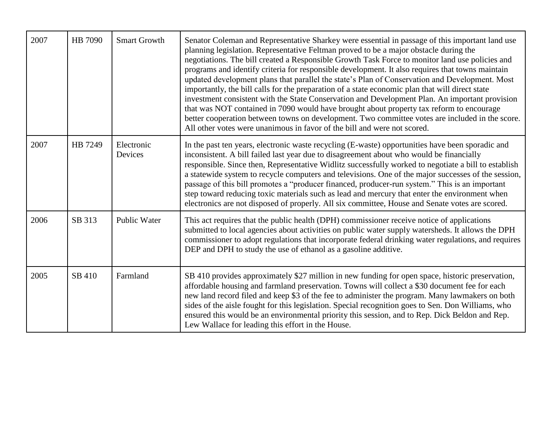| 2007 | HB 7090 | <b>Smart Growth</b>   | Senator Coleman and Representative Sharkey were essential in passage of this important land use<br>planning legislation. Representative Feltman proved to be a major obstacle during the<br>negotiations. The bill created a Responsible Growth Task Force to monitor land use policies and<br>programs and identify criteria for responsible development. It also requires that towns maintain<br>updated development plans that parallel the state's Plan of Conservation and Development. Most<br>importantly, the bill calls for the preparation of a state economic plan that will direct state<br>investment consistent with the State Conservation and Development Plan. An important provision<br>that was NOT contained in 7090 would have brought about property tax reform to encourage<br>better cooperation between towns on development. Two committee votes are included in the score.<br>All other votes were unanimous in favor of the bill and were not scored. |
|------|---------|-----------------------|-----------------------------------------------------------------------------------------------------------------------------------------------------------------------------------------------------------------------------------------------------------------------------------------------------------------------------------------------------------------------------------------------------------------------------------------------------------------------------------------------------------------------------------------------------------------------------------------------------------------------------------------------------------------------------------------------------------------------------------------------------------------------------------------------------------------------------------------------------------------------------------------------------------------------------------------------------------------------------------|
| 2007 | HB 7249 | Electronic<br>Devices | In the past ten years, electronic waste recycling (E-waste) opportunities have been sporadic and<br>inconsistent. A bill failed last year due to disagreement about who would be financially<br>responsible. Since then, Representative Widlitz successfully worked to negotiate a bill to establish<br>a statewide system to recycle computers and televisions. One of the major successes of the session,<br>passage of this bill promotes a "producer financed, producer-run system." This is an important<br>step toward reducing toxic materials such as lead and mercury that enter the environment when<br>electronics are not disposed of properly. All six committee, House and Senate votes are scored.                                                                                                                                                                                                                                                                 |
| 2006 | SB 313  | Public Water          | This act requires that the public health (DPH) commissioner receive notice of applications<br>submitted to local agencies about activities on public water supply watersheds. It allows the DPH<br>commissioner to adopt regulations that incorporate federal drinking water regulations, and requires<br>DEP and DPH to study the use of ethanol as a gasoline additive.                                                                                                                                                                                                                                                                                                                                                                                                                                                                                                                                                                                                         |
| 2005 | SB 410  | Farmland              | SB 410 provides approximately \$27 million in new funding for open space, historic preservation,<br>affordable housing and farmland preservation. Towns will collect a \$30 document fee for each<br>new land record filed and keep \$3 of the fee to administer the program. Many lawmakers on both<br>sides of the aisle fought for this legislation. Special recognition goes to Sen. Don Williams, who<br>ensured this would be an environmental priority this session, and to Rep. Dick Beldon and Rep.<br>Lew Wallace for leading this effort in the House.                                                                                                                                                                                                                                                                                                                                                                                                                 |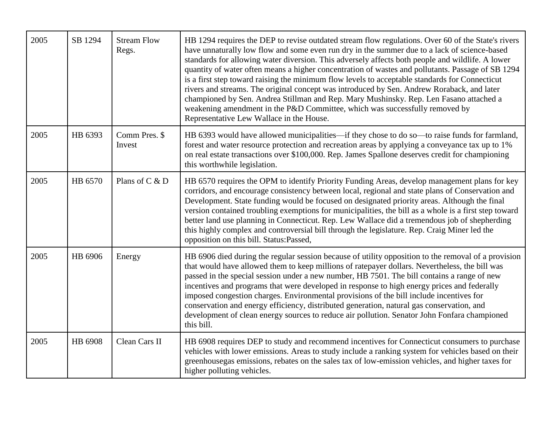| 2005 | SB 1294 | <b>Stream Flow</b><br>Regs. | HB 1294 requires the DEP to revise outdated stream flow regulations. Over 60 of the State's rivers<br>have unnaturally low flow and some even run dry in the summer due to a lack of science-based<br>standards for allowing water diversion. This adversely affects both people and wildlife. A lower<br>quantity of water often means a higher concentration of wastes and pollutants. Passage of SB 1294<br>is a first step toward raising the minimum flow levels to acceptable standards for Connecticut<br>rivers and streams. The original concept was introduced by Sen. Andrew Roraback, and later<br>championed by Sen. Andrea Stillman and Rep. Mary Mushinsky. Rep. Len Fasano attached a<br>weakening amendment in the P&D Committee, which was successfully removed by<br>Representative Lew Wallace in the House. |
|------|---------|-----------------------------|----------------------------------------------------------------------------------------------------------------------------------------------------------------------------------------------------------------------------------------------------------------------------------------------------------------------------------------------------------------------------------------------------------------------------------------------------------------------------------------------------------------------------------------------------------------------------------------------------------------------------------------------------------------------------------------------------------------------------------------------------------------------------------------------------------------------------------|
| 2005 | HB 6393 | Comm Pres. \$<br>Invest     | HB 6393 would have allowed municipalities—if they chose to do so—to raise funds for farmland,<br>forest and water resource protection and recreation areas by applying a conveyance tax up to 1%<br>on real estate transactions over \$100,000. Rep. James Spallone deserves credit for championing<br>this worthwhile legislation.                                                                                                                                                                                                                                                                                                                                                                                                                                                                                              |
| 2005 | HB 6570 | Plans of C & D              | HB 6570 requires the OPM to identify Priority Funding Areas, develop management plans for key<br>corridors, and encourage consistency between local, regional and state plans of Conservation and<br>Development. State funding would be focused on designated priority areas. Although the final<br>version contained troubling exemptions for municipalities, the bill as a whole is a first step toward<br>better land use planning in Connecticut. Rep. Lew Wallace did a tremendous job of shepherding<br>this highly complex and controversial bill through the legislature. Rep. Craig Miner led the<br>opposition on this bill. Status:Passed,                                                                                                                                                                           |
| 2005 | HB 6906 | Energy                      | HB 6906 died during the regular session because of utility opposition to the removal of a provision<br>that would have allowed them to keep millions of ratepayer dollars. Nevertheless, the bill was<br>passed in the special session under a new number, HB 7501. The bill contains a range of new<br>incentives and programs that were developed in response to high energy prices and federally<br>imposed congestion charges. Environmental provisions of the bill include incentives for<br>conservation and energy efficiency, distributed generation, natural gas conservation, and<br>development of clean energy sources to reduce air pollution. Senator John Fonfara championed<br>this bill.                                                                                                                        |
| 2005 | HB 6908 | Clean Cars II               | HB 6908 requires DEP to study and recommend incentives for Connecticut consumers to purchase<br>vehicles with lower emissions. Areas to study include a ranking system for vehicles based on their<br>greenhousegas emissions, rebates on the sales tax of low-emission vehicles, and higher taxes for<br>higher polluting vehicles.                                                                                                                                                                                                                                                                                                                                                                                                                                                                                             |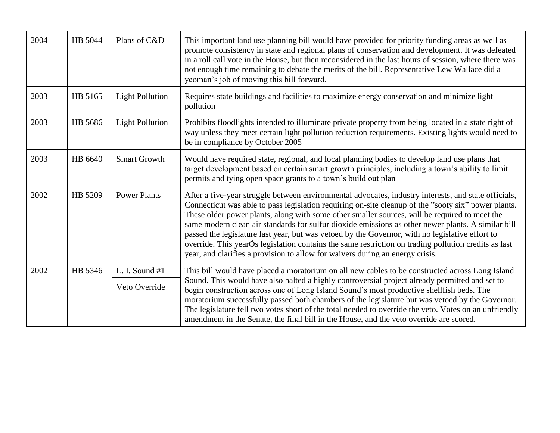| 2004 | HB 5044 | Plans of C&D                    | This important land use planning bill would have provided for priority funding areas as well as<br>promote consistency in state and regional plans of conservation and development. It was defeated<br>in a roll call vote in the House, but then reconsidered in the last hours of session, where there was<br>not enough time remaining to debate the merits of the bill. Representative Lew Wallace did a<br>yeoman's job of moving this bill forward.                                                                                                                                                                                                                                                      |
|------|---------|---------------------------------|----------------------------------------------------------------------------------------------------------------------------------------------------------------------------------------------------------------------------------------------------------------------------------------------------------------------------------------------------------------------------------------------------------------------------------------------------------------------------------------------------------------------------------------------------------------------------------------------------------------------------------------------------------------------------------------------------------------|
| 2003 | HB 5165 | <b>Light Pollution</b>          | Requires state buildings and facilities to maximize energy conservation and minimize light<br>pollution                                                                                                                                                                                                                                                                                                                                                                                                                                                                                                                                                                                                        |
| 2003 | HB 5686 | <b>Light Pollution</b>          | Prohibits floodlights intended to illuminate private property from being located in a state right of<br>way unless they meet certain light pollution reduction requirements. Existing lights would need to<br>be in compliance by October 2005                                                                                                                                                                                                                                                                                                                                                                                                                                                                 |
| 2003 | HB 6640 | <b>Smart Growth</b>             | Would have required state, regional, and local planning bodies to develop land use plans that<br>target development based on certain smart growth principles, including a town's ability to limit<br>permits and tying open space grants to a town's build out plan                                                                                                                                                                                                                                                                                                                                                                                                                                            |
| 2002 | HB 5209 | <b>Power Plants</b>             | After a five-year struggle between environmental advocates, industry interests, and state officials,<br>Connecticut was able to pass legislation requiring on-site cleanup of the "sooty six" power plants.<br>These older power plants, along with some other smaller sources, will be required to meet the<br>same modern clean air standards for sulfur dioxide emissions as other newer plants. A similar bill<br>passed the legislature last year, but was vetoed by the Governor, with no legislative effort to<br>override. This yearOs legislation contains the same restriction on trading pollution credits as last<br>year, and clarifies a provision to allow for waivers during an energy crisis. |
| 2002 | HB 5346 | L. I. Sound #1<br>Veto Override | This bill would have placed a moratorium on all new cables to be constructed across Long Island<br>Sound. This would have also halted a highly controversial project already permitted and set to<br>begin construction across one of Long Island Sound's most productive shellfish beds. The<br>moratorium successfully passed both chambers of the legislature but was vetoed by the Governor.<br>The legislature fell two votes short of the total needed to override the veto. Votes on an unfriendly<br>amendment in the Senate, the final bill in the House, and the veto override are scored.                                                                                                           |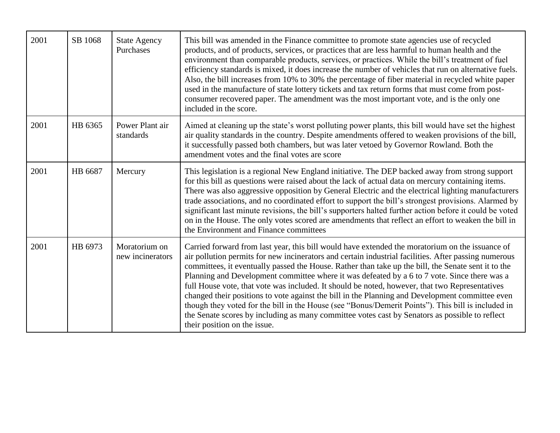| 2001 | SB 1068 | <b>State Agency</b><br>Purchases  | This bill was amended in the Finance committee to promote state agencies use of recycled<br>products, and of products, services, or practices that are less harmful to human health and the<br>environment than comparable products, services, or practices. While the bill's treatment of fuel<br>efficiency standards is mixed, it does increase the number of vehicles that run on alternative fuels.<br>Also, the bill increases from 10% to 30% the percentage of fiber material in recycled white paper<br>used in the manufacture of state lottery tickets and tax return forms that must come from post-<br>consumer recovered paper. The amendment was the most important vote, and is the only one<br>included in the score.                                                                                                                      |
|------|---------|-----------------------------------|-------------------------------------------------------------------------------------------------------------------------------------------------------------------------------------------------------------------------------------------------------------------------------------------------------------------------------------------------------------------------------------------------------------------------------------------------------------------------------------------------------------------------------------------------------------------------------------------------------------------------------------------------------------------------------------------------------------------------------------------------------------------------------------------------------------------------------------------------------------|
| 2001 | HB 6365 | Power Plant air<br>standards      | Aimed at cleaning up the state's worst polluting power plants, this bill would have set the highest<br>air quality standards in the country. Despite amendments offered to weaken provisions of the bill,<br>it successfully passed both chambers, but was later vetoed by Governor Rowland. Both the<br>amendment votes and the final votes are score                                                                                                                                                                                                                                                                                                                                                                                                                                                                                                      |
| 2001 | HB 6687 | Mercury                           | This legislation is a regional New England initiative. The DEP backed away from strong support<br>for this bill as questions were raised about the lack of actual data on mercury containing items.<br>There was also aggressive opposition by General Electric and the electrical lighting manufacturers<br>trade associations, and no coordinated effort to support the bill's strongest provisions. Alarmed by<br>significant last minute revisions, the bill's supporters halted further action before it could be voted<br>on in the House. The only votes scored are amendments that reflect an effort to weaken the bill in<br>the Environment and Finance committees                                                                                                                                                                                |
| 2001 | HB 6973 | Moratorium on<br>new incinerators | Carried forward from last year, this bill would have extended the moratorium on the issuance of<br>air pollution permits for new incinerators and certain industrial facilities. After passing numerous<br>committees, it eventually passed the House. Rather than take up the bill, the Senate sent it to the<br>Planning and Development committee where it was defeated by a 6 to 7 vote. Since there was a<br>full House vote, that vote was included. It should be noted, however, that two Representatives<br>changed their positions to vote against the bill in the Planning and Development committee even<br>though they voted for the bill in the House (see "Bonus/Demerit Points"). This bill is included in<br>the Senate scores by including as many committee votes cast by Senators as possible to reflect<br>their position on the issue. |